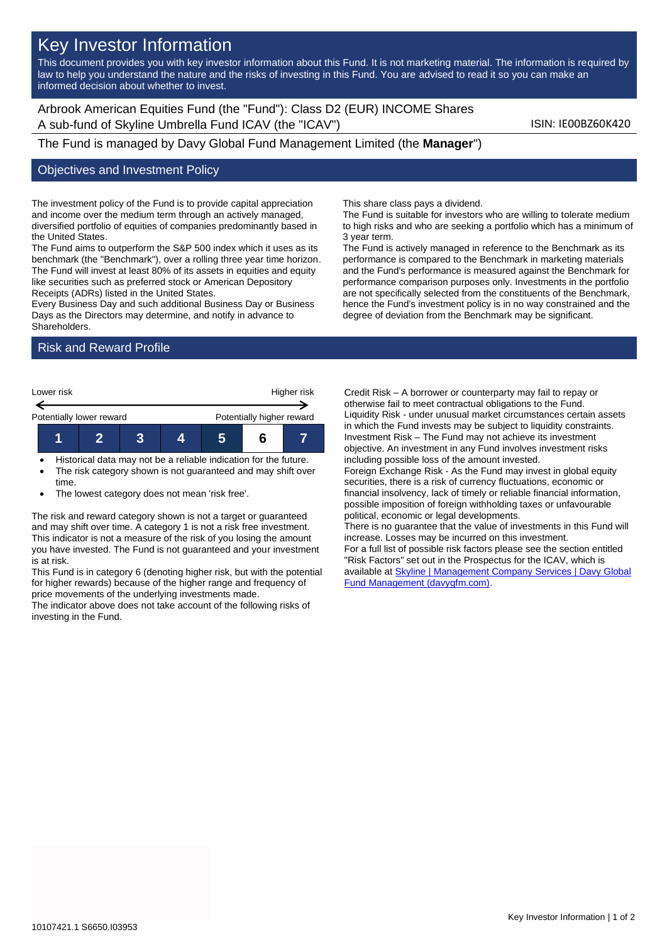# Key Investor Information

This document provides you with key investor information about this Fund. It is not marketing material. The information is required by law to help you understand the nature and the risks of investing in this Fund. You are advised to read it so you can make an informed decision about whether to invest.

Arbrook American Equities Fund (the "Fund"): Class D2 (EUR) INCOME Shares A sub-fund of Skyline Umbrella Fund ICAV (the "ICAV") Sub-fund iSIN: IE00BZ60K420

The Fund is managed by Davy Global Fund Management Limited (the **Manager**")

#### Objectives and Investment Policy

The investment policy of the Fund is to provide capital appreciation and income over the medium term through an actively managed, diversified portfolio of equities of companies predominantly based in the United States.

The Fund aims to outperform the S&P 500 index which it uses as its benchmark (the "Benchmark"), over a rolling three year time horizon. The Fund will invest at least 80% of its assets in equities and equity like securities such as preferred stock or American Depository Receipts (ADRs) listed in the United States.

Every Business Day and such additional Business Day or Business Days as the Directors may determine, and notify in advance to Shareholders.

## Risk and Reward Profile



- Historical data may not be a reliable indication for the future. The risk category shown is not guaranteed and may shift over
- time.
- The lowest category does not mean 'risk free'.

The risk and reward category shown is not a target or guaranteed and may shift over time. A category 1 is not a risk free investment. This indicator is not a measure of the risk of you losing the amount you have invested. The Fund is not guaranteed and your investment is at risk.

This Fund is in category 6 (denoting higher risk, but with the potential for higher rewards) because of the higher range and frequency of price movements of the underlying investments made.

The indicator above does not take account of the following risks of investing in the Fund.

This share class pays a dividend.

The Fund is suitable for investors who are willing to tolerate medium to high risks and who are seeking a portfolio which has a minimum of 3 year term.

The Fund is actively managed in reference to the Benchmark as its performance is compared to the Benchmark in marketing materials and the Fund's performance is measured against the Benchmark for performance comparison purposes only. Investments in the portfolio are not specifically selected from the constituents of the Benchmark, hence the Fund's investment policy is in no way constrained and the degree of deviation from the Benchmark may be significant.

Credit Risk – A borrower or counterparty may fail to repay or otherwise fail to meet contractual obligations to the Fund. Liquidity Risk - under unusual market circumstances certain assets in which the Fund invests may be subject to liquidity constraints. Investment Risk – The Fund may not achieve its investment objective. An investment in any Fund involves investment risks including possible loss of the amount invested.

Foreign Exchange Risk - As the Fund may invest in global equity securities, there is a risk of currency fluctuations, economic or financial insolvency, lack of timely or reliable financial information, possible imposition of foreign withholding taxes or unfavourable political, economic or legal developments.

There is no guarantee that the value of investments in this Fund will increase. Losses may be incurred on this investment.

For a full list of possible risk factors please see the section entitled "Risk Factors" set out in the Prospectus for the ICAV, which is available a[t Skyline | Management Company Services | Davy Global](https://www.davygfm.com/funds-factsheets/management-company-services/ireland/skyline.html)  [Fund Management \(davygfm.com\).](https://www.davygfm.com/funds-factsheets/management-company-services/ireland/skyline.html)